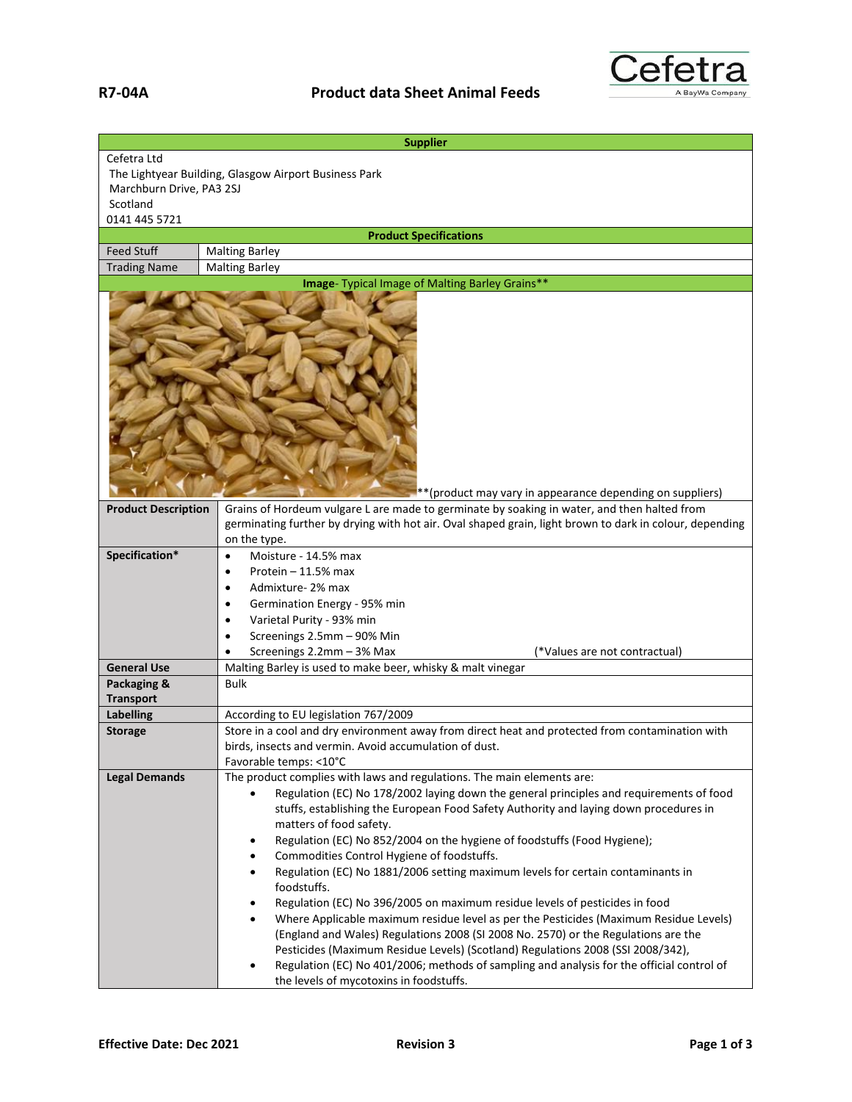

| <b>Supplier</b>                                                      |                                                                                                                                                                                                                        |  |
|----------------------------------------------------------------------|------------------------------------------------------------------------------------------------------------------------------------------------------------------------------------------------------------------------|--|
| Cefetra Ltd<br>The Lightyear Building, Glasgow Airport Business Park |                                                                                                                                                                                                                        |  |
| Marchburn Drive, PA3 2SJ<br>Scotland                                 |                                                                                                                                                                                                                        |  |
| 0141 445 5721                                                        |                                                                                                                                                                                                                        |  |
| <b>Product Specifications</b>                                        |                                                                                                                                                                                                                        |  |
| <b>Feed Stuff</b>                                                    | <b>Malting Barley</b>                                                                                                                                                                                                  |  |
| <b>Trading Name</b>                                                  | <b>Malting Barley</b>                                                                                                                                                                                                  |  |
| <b>Image-</b> Typical Image of Malting Barley Grains**               |                                                                                                                                                                                                                        |  |
| **(product may vary in appearance depending on suppliers)            |                                                                                                                                                                                                                        |  |
| <b>Product Description</b>                                           | Grains of Hordeum vulgare L are made to germinate by soaking in water, and then halted from<br>germinating further by drying with hot air. Oval shaped grain, light brown to dark in colour, depending<br>on the type. |  |
| Specification*                                                       | Moisture - 14.5% max<br>$\bullet$                                                                                                                                                                                      |  |
|                                                                      | Protein $-11.5%$ max<br>$\bullet$                                                                                                                                                                                      |  |
|                                                                      | Admixture-2% max                                                                                                                                                                                                       |  |
|                                                                      | Germination Energy - 95% min<br>$\bullet$                                                                                                                                                                              |  |
|                                                                      | Varietal Purity - 93% min                                                                                                                                                                                              |  |
|                                                                      | Screenings 2.5mm - 90% Min                                                                                                                                                                                             |  |
|                                                                      | Screenings 2.2mm - 3% Max<br>(*Values are not contractual)                                                                                                                                                             |  |
| <b>General Use</b>                                                   | Malting Barley is used to make beer, whisky & malt vinegar                                                                                                                                                             |  |
| Packaging &<br><b>Transport</b>                                      | <b>Bulk</b>                                                                                                                                                                                                            |  |
| <b>Labelling</b>                                                     | According to EU legislation 767/2009                                                                                                                                                                                   |  |
| <b>Storage</b>                                                       | Store in a cool and dry environment away from direct heat and protected from contamination with                                                                                                                        |  |
|                                                                      | birds, insects and vermin. Avoid accumulation of dust.                                                                                                                                                                 |  |
|                                                                      | Favorable temps: <10°C                                                                                                                                                                                                 |  |
| <b>Legal Demands</b>                                                 | The product complies with laws and regulations. The main elements are:                                                                                                                                                 |  |
|                                                                      | Regulation (EC) No 178/2002 laying down the general principles and requirements of food                                                                                                                                |  |
|                                                                      | stuffs, establishing the European Food Safety Authority and laying down procedures in                                                                                                                                  |  |
|                                                                      | matters of food safety.                                                                                                                                                                                                |  |
|                                                                      | Regulation (EC) No 852/2004 on the hygiene of foodstuffs (Food Hygiene);<br>٠                                                                                                                                          |  |
|                                                                      | Commodities Control Hygiene of foodstuffs.<br>$\bullet$                                                                                                                                                                |  |
|                                                                      | Regulation (EC) No 1881/2006 setting maximum levels for certain contaminants in<br>٠<br>foodstuffs.                                                                                                                    |  |
|                                                                      | Regulation (EC) No 396/2005 on maximum residue levels of pesticides in food<br>٠                                                                                                                                       |  |
|                                                                      | Where Applicable maximum residue level as per the Pesticides (Maximum Residue Levels)<br>$\bullet$                                                                                                                     |  |
|                                                                      | (England and Wales) Regulations 2008 (SI 2008 No. 2570) or the Regulations are the                                                                                                                                     |  |
|                                                                      | Pesticides (Maximum Residue Levels) (Scotland) Regulations 2008 (SSI 2008/342),                                                                                                                                        |  |
|                                                                      | Regulation (EC) No 401/2006; methods of sampling and analysis for the official control of                                                                                                                              |  |
|                                                                      | the levels of mycotoxins in foodstuffs.                                                                                                                                                                                |  |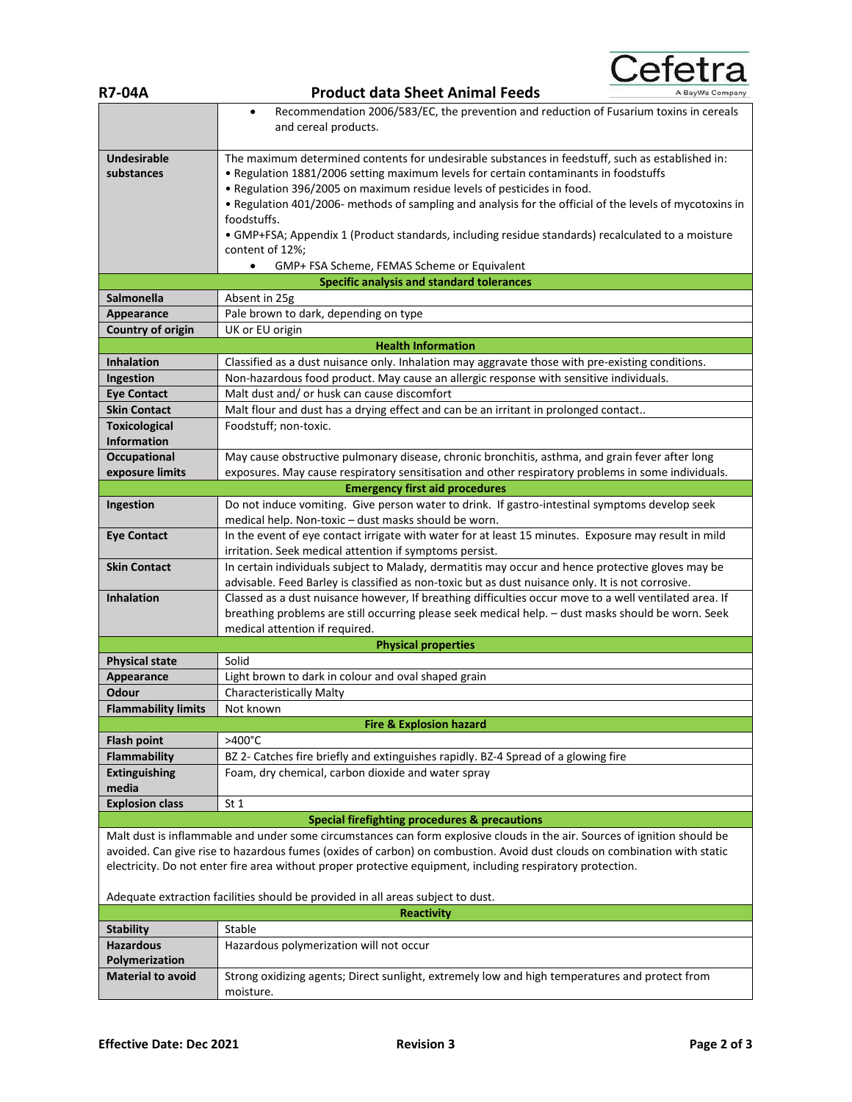| <b>R7-04A</b>                                                                                                                                                                                                                          | Cefetra<br><b>Product data Sheet Animal Feeds</b><br>BayWa Compar                                                                                                                                                                                                                                                                                                                                                                                                                                                                                                                |
|----------------------------------------------------------------------------------------------------------------------------------------------------------------------------------------------------------------------------------------|----------------------------------------------------------------------------------------------------------------------------------------------------------------------------------------------------------------------------------------------------------------------------------------------------------------------------------------------------------------------------------------------------------------------------------------------------------------------------------------------------------------------------------------------------------------------------------|
|                                                                                                                                                                                                                                        |                                                                                                                                                                                                                                                                                                                                                                                                                                                                                                                                                                                  |
|                                                                                                                                                                                                                                        | Recommendation 2006/583/EC, the prevention and reduction of Fusarium toxins in cereals<br>$\bullet$<br>and cereal products.                                                                                                                                                                                                                                                                                                                                                                                                                                                      |
| <b>Undesirable</b><br>substances                                                                                                                                                                                                       | The maximum determined contents for undesirable substances in feedstuff, such as established in:<br>. Regulation 1881/2006 setting maximum levels for certain contaminants in foodstuffs<br>. Regulation 396/2005 on maximum residue levels of pesticides in food.<br>• Regulation 401/2006- methods of sampling and analysis for the official of the levels of mycotoxins in<br>foodstuffs.<br>• GMP+FSA; Appendix 1 (Product standards, including residue standards) recalculated to a moisture<br>content of 12%;<br>GMP+ FSA Scheme, FEMAS Scheme or Equivalent<br>$\bullet$ |
|                                                                                                                                                                                                                                        | <b>Specific analysis and standard tolerances</b>                                                                                                                                                                                                                                                                                                                                                                                                                                                                                                                                 |
| <b>Salmonella</b>                                                                                                                                                                                                                      | Absent in 25g                                                                                                                                                                                                                                                                                                                                                                                                                                                                                                                                                                    |
| Appearance                                                                                                                                                                                                                             | Pale brown to dark, depending on type                                                                                                                                                                                                                                                                                                                                                                                                                                                                                                                                            |
| Country of origin                                                                                                                                                                                                                      | UK or EU origin                                                                                                                                                                                                                                                                                                                                                                                                                                                                                                                                                                  |
|                                                                                                                                                                                                                                        | <b>Health Information</b>                                                                                                                                                                                                                                                                                                                                                                                                                                                                                                                                                        |
| <b>Inhalation</b>                                                                                                                                                                                                                      | Classified as a dust nuisance only. Inhalation may aggravate those with pre-existing conditions.                                                                                                                                                                                                                                                                                                                                                                                                                                                                                 |
| Ingestion                                                                                                                                                                                                                              | Non-hazardous food product. May cause an allergic response with sensitive individuals.                                                                                                                                                                                                                                                                                                                                                                                                                                                                                           |
| <b>Eye Contact</b>                                                                                                                                                                                                                     | Malt dust and/ or husk can cause discomfort                                                                                                                                                                                                                                                                                                                                                                                                                                                                                                                                      |
| <b>Skin Contact</b>                                                                                                                                                                                                                    | Malt flour and dust has a drying effect and can be an irritant in prolonged contact                                                                                                                                                                                                                                                                                                                                                                                                                                                                                              |
| <b>Toxicological</b>                                                                                                                                                                                                                   | Foodstuff; non-toxic.                                                                                                                                                                                                                                                                                                                                                                                                                                                                                                                                                            |
| <b>Information</b>                                                                                                                                                                                                                     |                                                                                                                                                                                                                                                                                                                                                                                                                                                                                                                                                                                  |
| <b>Occupational</b>                                                                                                                                                                                                                    | May cause obstructive pulmonary disease, chronic bronchitis, asthma, and grain fever after long                                                                                                                                                                                                                                                                                                                                                                                                                                                                                  |
| exposure limits                                                                                                                                                                                                                        | exposures. May cause respiratory sensitisation and other respiratory problems in some individuals.                                                                                                                                                                                                                                                                                                                                                                                                                                                                               |
|                                                                                                                                                                                                                                        | <b>Emergency first aid procedures</b>                                                                                                                                                                                                                                                                                                                                                                                                                                                                                                                                            |
| Ingestion                                                                                                                                                                                                                              | Do not induce vomiting. Give person water to drink. If gastro-intestinal symptoms develop seek                                                                                                                                                                                                                                                                                                                                                                                                                                                                                   |
|                                                                                                                                                                                                                                        | medical help. Non-toxic - dust masks should be worn.                                                                                                                                                                                                                                                                                                                                                                                                                                                                                                                             |
| <b>Eye Contact</b>                                                                                                                                                                                                                     | In the event of eye contact irrigate with water for at least 15 minutes. Exposure may result in mild                                                                                                                                                                                                                                                                                                                                                                                                                                                                             |
|                                                                                                                                                                                                                                        | irritation. Seek medical attention if symptoms persist.                                                                                                                                                                                                                                                                                                                                                                                                                                                                                                                          |
| <b>Skin Contact</b>                                                                                                                                                                                                                    | In certain individuals subject to Malady, dermatitis may occur and hence protective gloves may be<br>advisable. Feed Barley is classified as non-toxic but as dust nuisance only. It is not corrosive.                                                                                                                                                                                                                                                                                                                                                                           |
| <b>Inhalation</b>                                                                                                                                                                                                                      | Classed as a dust nuisance however, If breathing difficulties occur move to a well ventilated area. If<br>breathing problems are still occurring please seek medical help. - dust masks should be worn. Seek<br>medical attention if required.                                                                                                                                                                                                                                                                                                                                   |
|                                                                                                                                                                                                                                        | <b>Physical properties</b>                                                                                                                                                                                                                                                                                                                                                                                                                                                                                                                                                       |
| <b>Physical state</b>                                                                                                                                                                                                                  | Solid                                                                                                                                                                                                                                                                                                                                                                                                                                                                                                                                                                            |
| Appearance                                                                                                                                                                                                                             | Light brown to dark in colour and oval shaped grain                                                                                                                                                                                                                                                                                                                                                                                                                                                                                                                              |
| Odour                                                                                                                                                                                                                                  | <b>Characteristically Malty</b>                                                                                                                                                                                                                                                                                                                                                                                                                                                                                                                                                  |
| <b>Flammability limits</b>                                                                                                                                                                                                             | Not known                                                                                                                                                                                                                                                                                                                                                                                                                                                                                                                                                                        |
|                                                                                                                                                                                                                                        | <b>Fire &amp; Explosion hazard</b>                                                                                                                                                                                                                                                                                                                                                                                                                                                                                                                                               |
| <b>Flash point</b>                                                                                                                                                                                                                     | >400°C                                                                                                                                                                                                                                                                                                                                                                                                                                                                                                                                                                           |
| <b>Flammability</b>                                                                                                                                                                                                                    | BZ 2- Catches fire briefly and extinguishes rapidly. BZ-4 Spread of a glowing fire                                                                                                                                                                                                                                                                                                                                                                                                                                                                                               |
| <b>Extinguishing</b><br>media                                                                                                                                                                                                          | Foam, dry chemical, carbon dioxide and water spray                                                                                                                                                                                                                                                                                                                                                                                                                                                                                                                               |
| <b>Explosion class</b>                                                                                                                                                                                                                 | St <sub>1</sub>                                                                                                                                                                                                                                                                                                                                                                                                                                                                                                                                                                  |
|                                                                                                                                                                                                                                        | <b>Special firefighting procedures &amp; precautions</b>                                                                                                                                                                                                                                                                                                                                                                                                                                                                                                                         |
|                                                                                                                                                                                                                                        | Malt dust is inflammable and under some circumstances can form explosive clouds in the air. Sources of ignition should be                                                                                                                                                                                                                                                                                                                                                                                                                                                        |
| avoided. Can give rise to hazardous fumes (oxides of carbon) on combustion. Avoid dust clouds on combination with static<br>electricity. Do not enter fire area without proper protective equipment, including respiratory protection. |                                                                                                                                                                                                                                                                                                                                                                                                                                                                                                                                                                                  |
| Adequate extraction facilities should be provided in all areas subject to dust.                                                                                                                                                        |                                                                                                                                                                                                                                                                                                                                                                                                                                                                                                                                                                                  |
| <b>Reactivity</b>                                                                                                                                                                                                                      |                                                                                                                                                                                                                                                                                                                                                                                                                                                                                                                                                                                  |
| <b>Stability</b>                                                                                                                                                                                                                       | Stable                                                                                                                                                                                                                                                                                                                                                                                                                                                                                                                                                                           |
| <b>Hazardous</b><br>Polymerization                                                                                                                                                                                                     | Hazardous polymerization will not occur                                                                                                                                                                                                                                                                                                                                                                                                                                                                                                                                          |
| <b>Material to avoid</b>                                                                                                                                                                                                               | Strong oxidizing agents; Direct sunlight, extremely low and high temperatures and protect from<br>moisture.                                                                                                                                                                                                                                                                                                                                                                                                                                                                      |